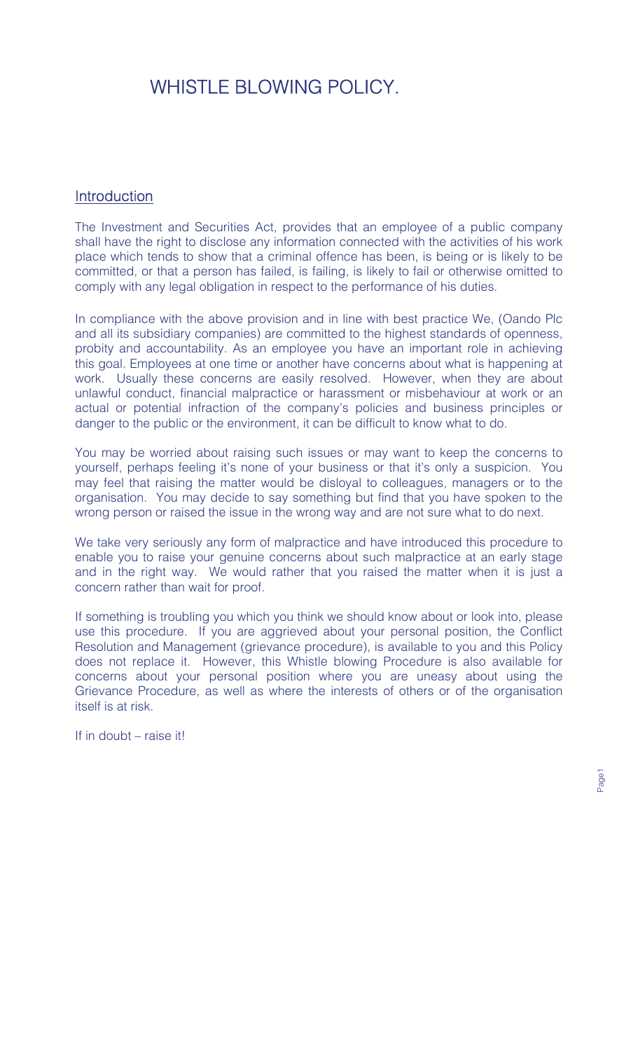# WHISTLE BLOWING POLICY.

# **Introduction**

The Investment and Securities Act, provides that an employee of a public company shall have the right to disclose any information connected with the activities of his work place which tends to show that a criminal offence has been, is being or is likely to be committed, or that a person has failed, is failing, is likely to fail or otherwise omitted to comply with any legal obligation in respect to the performance of his duties.

In compliance with the above provision and in line with best practice We, (Oando Plc and all its subsidiary companies) are committed to the highest standards of openness, probity and accountability. As an employee you have an important role in achieving this goal. Employees at one time or another have concerns about what is happening at work. Usually these concerns are easily resolved. However, when they are about unlawful conduct, financial malpractice or harassment or misbehaviour at work or an actual or potential infraction of the company's policies and business principles or danger to the public or the environment, it can be difficult to know what to do.

You may be worried about raising such issues or may want to keep the concerns to yourself, perhaps feeling it's none of your business or that it's only a suspicion. You may feel that raising the matter would be disloyal to colleagues, managers or to the organisation. You may decide to say something but find that you have spoken to the wrong person or raised the issue in the wrong way and are not sure what to do next.

We take very seriously any form of malpractice and have introduced this procedure to enable you to raise your genuine concerns about such malpractice at an early stage and in the right way. We would rather that you raised the matter when it is just a concern rather than wait for proof.

If something is troubling you which you think we should know about or look into, please use this procedure. If you are aggrieved about your personal position, the Conflict Resolution and Management (grievance procedure), is available to you and this Policy does not replace it. However, this Whistle blowing Procedure is also available for concerns about your personal position where you are uneasy about using the Grievance Procedure, as well as where the interests of others or of the organisation itself is at risk.

If in doubt – raise it!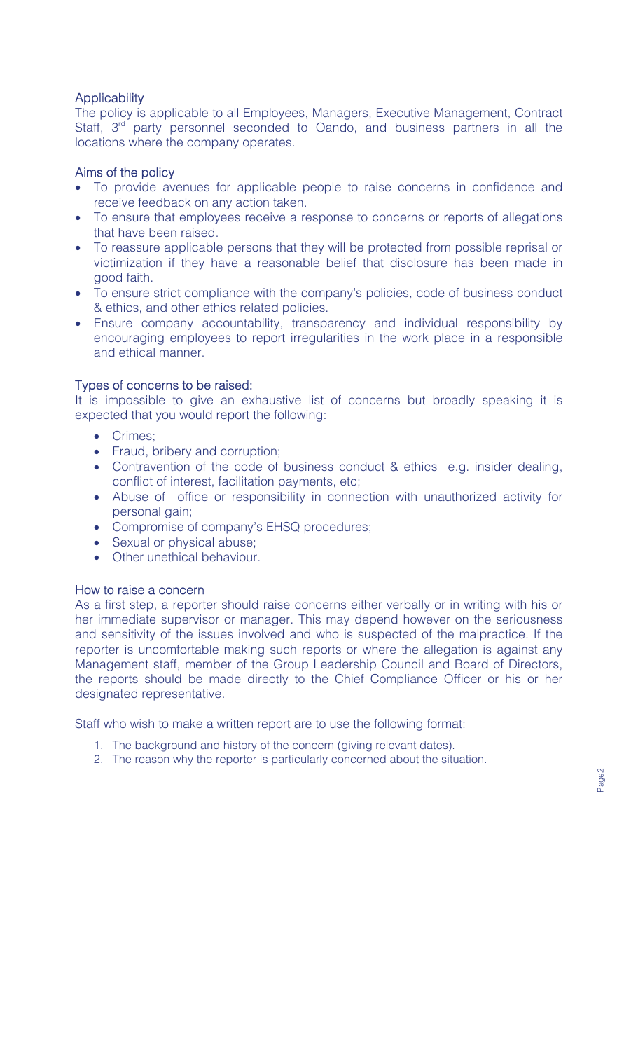# **Applicability**

The policy is applicable to all Employees, Managers, Executive Management, Contract Staff, 3<sup>rd</sup> party personnel seconded to Oando, and business partners in all the locations where the company operates.

# Aims of the policy

- To provide avenues for applicable people to raise concerns in confidence and receive feedback on any action taken.
- To ensure that employees receive a response to concerns or reports of allegations that have been raised.
- To reassure applicable persons that they will be protected from possible reprisal or victimization if they have a reasonable belief that disclosure has been made in good faith.
- To ensure strict compliance with the company's policies, code of business conduct & ethics, and other ethics related policies.
- Ensure company accountability, transparency and individual responsibility by encouraging employees to report irregularities in the work place in a responsible and ethical manner.

# Types of concerns to be raised:

It is impossible to give an exhaustive list of concerns but broadly speaking it is expected that you would report the following:

- Crimes;
- Fraud, bribery and corruption;
- Contravention of the code of business conduct & ethics e.g. insider dealing, conflict of interest, facilitation payments, etc;
- Abuse of office or responsibility in connection with unauthorized activity for personal gain;
- Compromise of company's EHSQ procedures;
- Sexual or physical abuse;
- Other unethical behaviour

# How to raise a concern

As a first step, a reporter should raise concerns either verbally or in writing with his or her immediate supervisor or manager. This may depend however on the seriousness and sensitivity of the issues involved and who is suspected of the malpractice. If the reporter is uncomfortable making such reports or where the allegation is against any Management staff, member of the Group Leadership Council and Board of Directors, the reports should be made directly to the Chief Compliance Officer or his or her designated representative.

Staff who wish to make a written report are to use the following format:

- 1. The background and history of the concern (giving relevant dates).
- 2. The reason why the reporter is particularly concerned about the situation.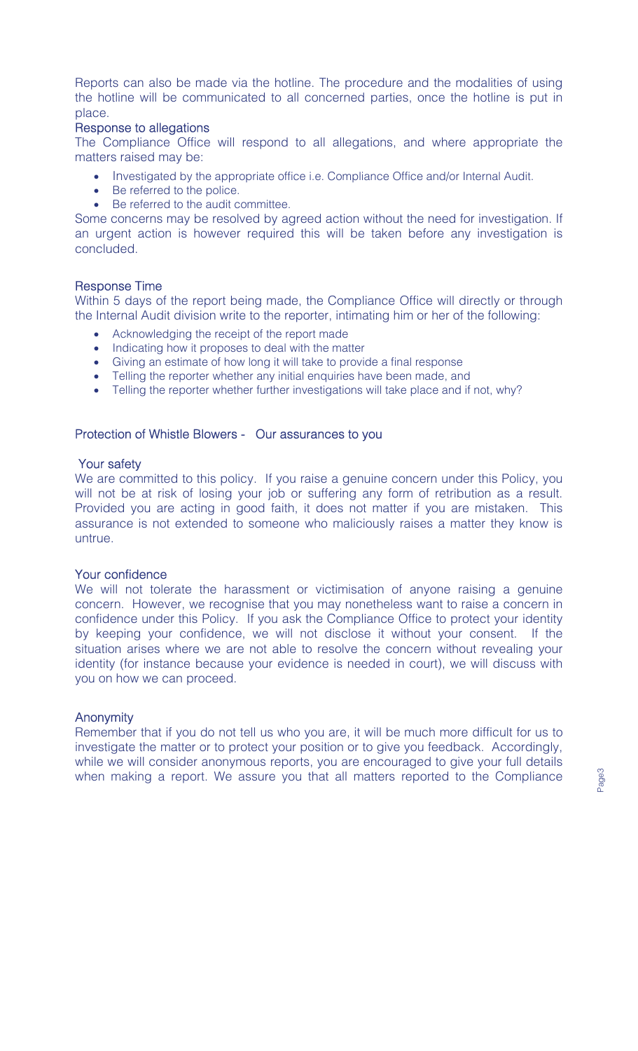Reports can also be made via the hotline. The procedure and the modalities of using the hotline will be communicated to all concerned parties, once the hotline is put in place.

#### Response to allegations

The Compliance Office will respond to all allegations, and where appropriate the matters raised may be:

- Investigated by the appropriate office i.e. Compliance Office and/or Internal Audit.
- Be referred to the police.
- Be referred to the audit committee.

Some concerns may be resolved by agreed action without the need for investigation. If an urgent action is however required this will be taken before any investigation is concluded.

## Response Time

Within 5 days of the report being made, the Compliance Office will directly or through the Internal Audit division write to the reporter, intimating him or her of the following:

- Acknowledging the receipt of the report made
- Indicating how it proposes to deal with the matter
- Giving an estimate of how long it will take to provide a final response
- Telling the reporter whether any initial enquiries have been made, and
- Telling the reporter whether further investigations will take place and if not, why?

## Protection of Whistle Blowers - Our assurances to you

#### Your safety

We are committed to this policy. If you raise a genuine concern under this Policy, you will not be at risk of losing your job or suffering any form of retribution as a result. Provided you are acting in good faith, it does not matter if you are mistaken. This assurance is not extended to someone who maliciously raises a matter they know is untrue.

# Your confidence

We will not tolerate the harassment or victimisation of anyone raising a genuine concern. However, we recognise that you may nonetheless want to raise a concern in confidence under this Policy. If you ask the Compliance Office to protect your identity by keeping your confidence, we will not disclose it without your consent. If the situation arises where we are not able to resolve the concern without revealing your identity (for instance because your evidence is needed in court), we will discuss with you on how we can proceed.

#### **Anonymity**

Remember that if you do not tell us who you are, it will be much more difficult for us to investigate the matter or to protect your position or to give you feedback. Accordingly, while we will consider anonymous reports, you are encouraged to give your full details when making a report. We assure you that all matters reported to the Compliance